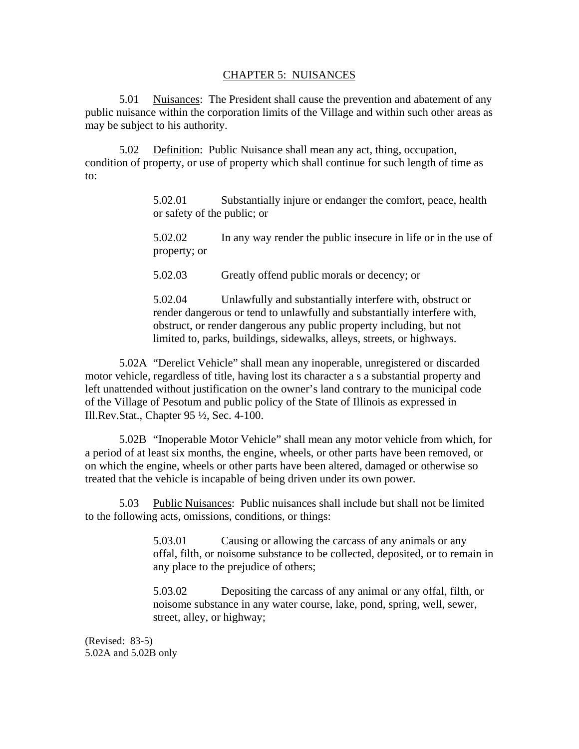## CHAPTER 5: NUISANCES

5.01 Nuisances: The President shall cause the prevention and abatement of any public nuisance within the corporation limits of the Village and within such other areas as may be subject to his authority.

5.02 Definition: Public Nuisance shall mean any act, thing, occupation, condition of property, or use of property which shall continue for such length of time as to:

> 5.02.01 Substantially injure or endanger the comfort, peace, health or safety of the public; or

5.02.02 In any way render the public insecure in life or in the use of property; or

5.02.03 Greatly offend public morals or decency; or

5.02.04 Unlawfully and substantially interfere with, obstruct or render dangerous or tend to unlawfully and substantially interfere with, obstruct, or render dangerous any public property including, but not limited to, parks, buildings, sidewalks, alleys, streets, or highways.

5.02A "Derelict Vehicle" shall mean any inoperable, unregistered or discarded motor vehicle, regardless of title, having lost its character a s a substantial property and left unattended without justification on the owner's land contrary to the municipal code of the Village of Pesotum and public policy of the State of Illinois as expressed in Ill.Rev.Stat., Chapter 95 ½, Sec. 4-100.

5.02B "Inoperable Motor Vehicle" shall mean any motor vehicle from which, for a period of at least six months, the engine, wheels, or other parts have been removed, or on which the engine, wheels or other parts have been altered, damaged or otherwise so treated that the vehicle is incapable of being driven under its own power.

5.03 Public Nuisances: Public nuisances shall include but shall not be limited to the following acts, omissions, conditions, or things:

> 5.03.01 Causing or allowing the carcass of any animals or any offal, filth, or noisome substance to be collected, deposited, or to remain in any place to the prejudice of others;

5.03.02 Depositing the carcass of any animal or any offal, filth, or noisome substance in any water course, lake, pond, spring, well, sewer, street, alley, or highway;

(Revised: 83-5) 5.02A and 5.02B only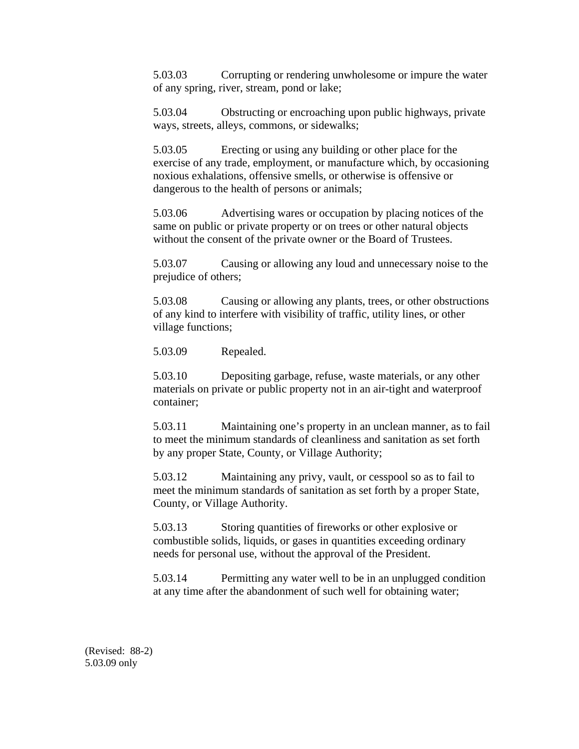5.03.03 Corrupting or rendering unwholesome or impure the water of any spring, river, stream, pond or lake;

5.03.04 Obstructing or encroaching upon public highways, private ways, streets, alleys, commons, or sidewalks;

5.03.05 Erecting or using any building or other place for the exercise of any trade, employment, or manufacture which, by occasioning noxious exhalations, offensive smells, or otherwise is offensive or dangerous to the health of persons or animals;

5.03.06 Advertising wares or occupation by placing notices of the same on public or private property or on trees or other natural objects without the consent of the private owner or the Board of Trustees.

5.03.07 Causing or allowing any loud and unnecessary noise to the prejudice of others;

5.03.08 Causing or allowing any plants, trees, or other obstructions of any kind to interfere with visibility of traffic, utility lines, or other village functions;

5.03.09 Repealed.

5.03.10 Depositing garbage, refuse, waste materials, or any other materials on private or public property not in an air-tight and waterproof container;

5.03.11 Maintaining one's property in an unclean manner, as to fail to meet the minimum standards of cleanliness and sanitation as set forth by any proper State, County, or Village Authority;

5.03.12 Maintaining any privy, vault, or cesspool so as to fail to meet the minimum standards of sanitation as set forth by a proper State, County, or Village Authority.

5.03.13 Storing quantities of fireworks or other explosive or combustible solids, liquids, or gases in quantities exceeding ordinary needs for personal use, without the approval of the President.

5.03.14 Permitting any water well to be in an unplugged condition at any time after the abandonment of such well for obtaining water;

(Revised: 88-2) 5.03.09 only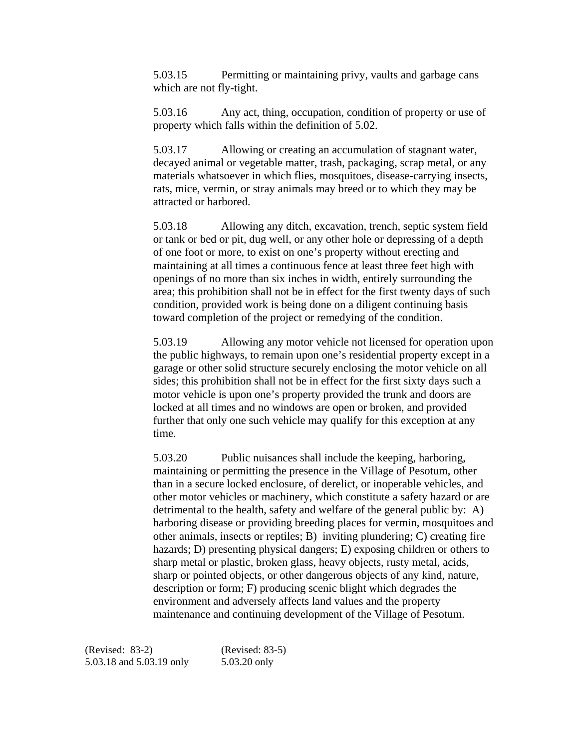5.03.15 Permitting or maintaining privy, vaults and garbage cans which are not fly-tight.

5.03.16 Any act, thing, occupation, condition of property or use of property which falls within the definition of 5.02.

5.03.17 Allowing or creating an accumulation of stagnant water, decayed animal or vegetable matter, trash, packaging, scrap metal, or any materials whatsoever in which flies, mosquitoes, disease-carrying insects, rats, mice, vermin, or stray animals may breed or to which they may be attracted or harbored.

5.03.18 Allowing any ditch, excavation, trench, septic system field or tank or bed or pit, dug well, or any other hole or depressing of a depth of one foot or more, to exist on one's property without erecting and maintaining at all times a continuous fence at least three feet high with openings of no more than six inches in width, entirely surrounding the area; this prohibition shall not be in effect for the first twenty days of such condition, provided work is being done on a diligent continuing basis toward completion of the project or remedying of the condition.

5.03.19 Allowing any motor vehicle not licensed for operation upon the public highways, to remain upon one's residential property except in a garage or other solid structure securely enclosing the motor vehicle on all sides; this prohibition shall not be in effect for the first sixty days such a motor vehicle is upon one's property provided the trunk and doors are locked at all times and no windows are open or broken, and provided further that only one such vehicle may qualify for this exception at any time.

5.03.20 Public nuisances shall include the keeping, harboring, maintaining or permitting the presence in the Village of Pesotum, other than in a secure locked enclosure, of derelict, or inoperable vehicles, and other motor vehicles or machinery, which constitute a safety hazard or are detrimental to the health, safety and welfare of the general public by: A) harboring disease or providing breeding places for vermin, mosquitoes and other animals, insects or reptiles; B) inviting plundering; C) creating fire hazards; D) presenting physical dangers; E) exposing children or others to sharp metal or plastic, broken glass, heavy objects, rusty metal, acids, sharp or pointed objects, or other dangerous objects of any kind, nature, description or form; F) producing scenic blight which degrades the environment and adversely affects land values and the property maintenance and continuing development of the Village of Pesotum.

(Revised: 83-2) (Revised: 83-5) 5.03.18 and 5.03.19 only 5.03.20 only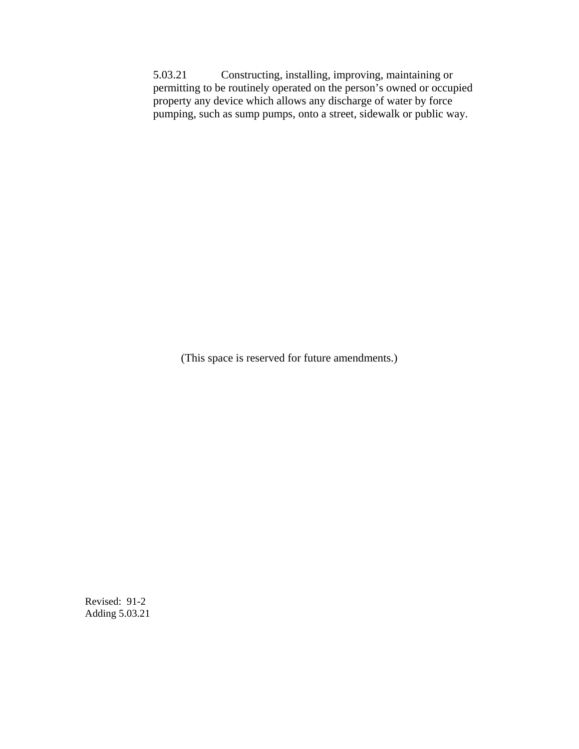5.03.21 Constructing, installing, improving, maintaining or permitting to be routinely operated on the person's owned or occupied property any device which allows any discharge of water by force pumping, such as sump pumps, onto a street, sidewalk or public way.

(This space is reserved for future amendments.)

Revised: 91-2 Adding 5.03.21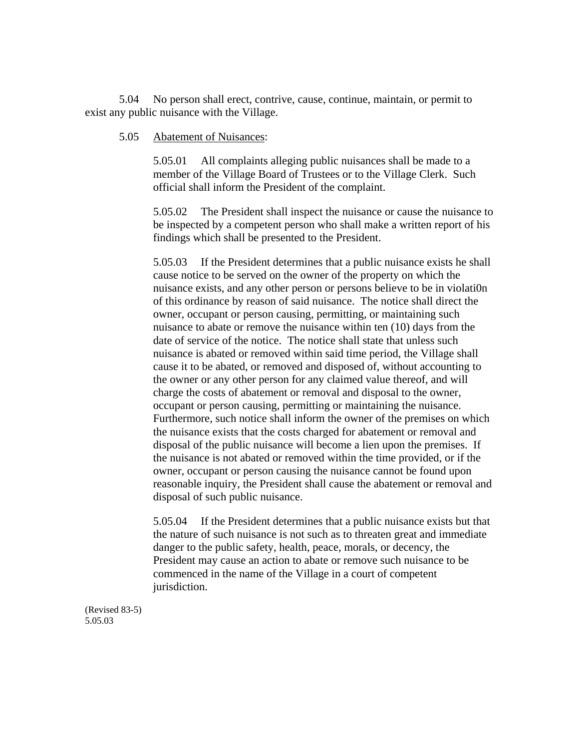5.04 No person shall erect, contrive, cause, continue, maintain, or permit to exist any public nuisance with the Village.

## 5.05 Abatement of Nuisances:

5.05.01 All complaints alleging public nuisances shall be made to a member of the Village Board of Trustees or to the Village Clerk. Such official shall inform the President of the complaint.

5.05.02 The President shall inspect the nuisance or cause the nuisance to be inspected by a competent person who shall make a written report of his findings which shall be presented to the President.

5.05.03 If the President determines that a public nuisance exists he shall cause notice to be served on the owner of the property on which the nuisance exists, and any other person or persons believe to be in violati0n of this ordinance by reason of said nuisance. The notice shall direct the owner, occupant or person causing, permitting, or maintaining such nuisance to abate or remove the nuisance within ten (10) days from the date of service of the notice. The notice shall state that unless such nuisance is abated or removed within said time period, the Village shall cause it to be abated, or removed and disposed of, without accounting to the owner or any other person for any claimed value thereof, and will charge the costs of abatement or removal and disposal to the owner, occupant or person causing, permitting or maintaining the nuisance. Furthermore, such notice shall inform the owner of the premises on which the nuisance exists that the costs charged for abatement or removal and disposal of the public nuisance will become a lien upon the premises. If the nuisance is not abated or removed within the time provided, or if the owner, occupant or person causing the nuisance cannot be found upon reasonable inquiry, the President shall cause the abatement or removal and disposal of such public nuisance.

5.05.04 If the President determines that a public nuisance exists but that the nature of such nuisance is not such as to threaten great and immediate danger to the public safety, health, peace, morals, or decency, the President may cause an action to abate or remove such nuisance to be commenced in the name of the Village in a court of competent jurisdiction.

(Revised 83-5) 5.05.03